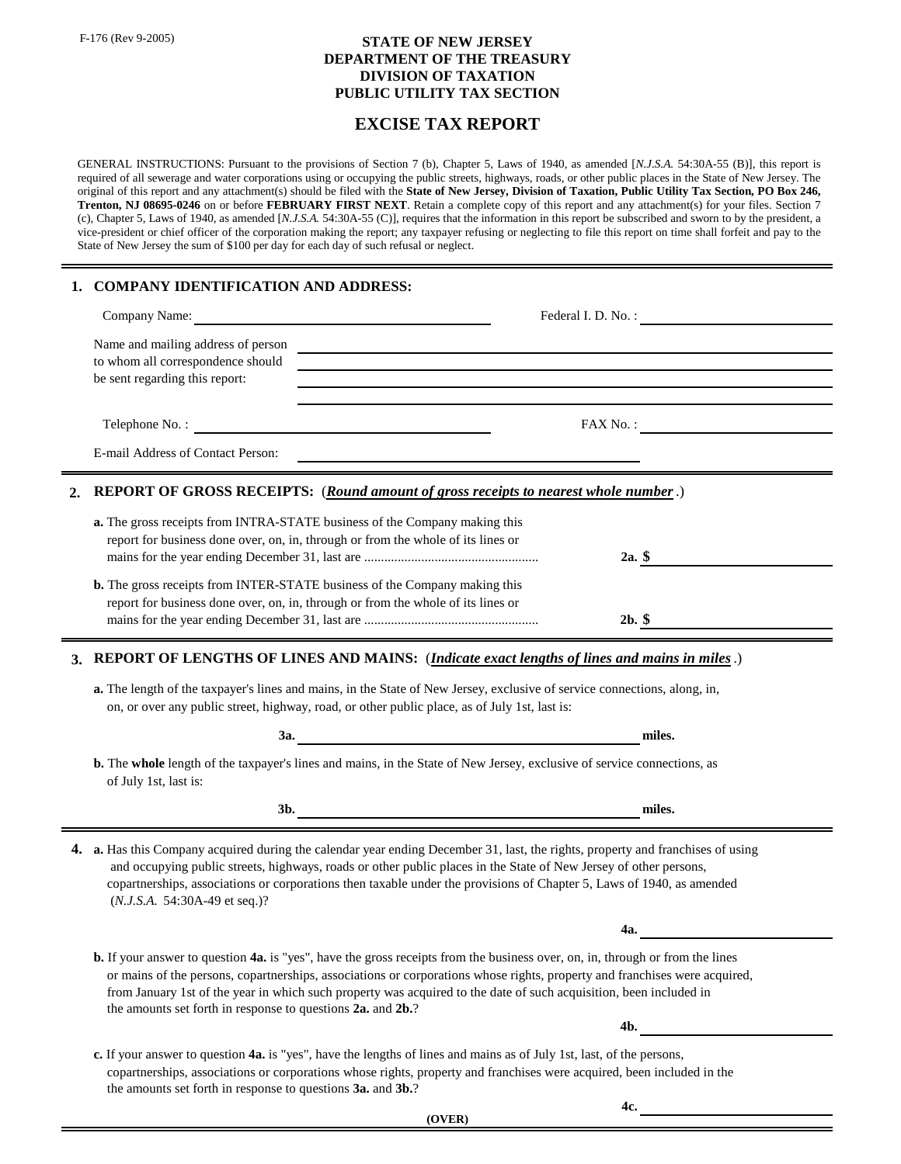F-176 (Rev 9-2005)

## **STATE OF NEW JERSEY DIVISION OF TAXATION DEPARTMENT OF THE TREASURY PUBLIC UTILITY TAX SECTION**

## **EXCISE TAX REPORT**

GENERAL INSTRUCTIONS: Pursuant to the provisions of Section 7 (b), Chapter 5, Laws of 1940, as amended [*N.J.S.A.* 54:30A-55 (B)], this report is required of all sewerage and water corporations using or occupying the public streets, highways, roads, or other public places in the State of New Jersey. The original of this report and any attachment(s) should be filed with the **State of New Jersey, Division of Taxation, Public Utility Tax Section, PO Box 246, Trenton, NJ 08695-0246** on or before **FEBRUARY FIRST NEXT**. Retain a complete copy of this report and any attachment(s) for your files. Section 7 (c), Chapter 5, Laws of 1940, as amended [*N.J.S.A.* 54:30A-55 (C)], requires that the information in this report be subscribed and sworn to by the president, a vice-president or chief officer of the corporation making the report; any taxpayer refusing or neglecting to file this report on time shall forfeit and pay to the State of New Jersey the sum of \$100 per day for each day of such refusal or neglect.

## **1. COMPANY IDENTIFICATION AND ADDRESS:**

| Company Name:                                                                                                                                                         | Federal I. D. No. :                                                                    |
|-----------------------------------------------------------------------------------------------------------------------------------------------------------------------|----------------------------------------------------------------------------------------|
| to whom all correspondence should<br>be sent regarding this report:                                                                                                   |                                                                                        |
| Telephone No.:                                                                                                                                                        | FAX No.:                                                                               |
| E-mail Address of Contact Person:                                                                                                                                     |                                                                                        |
|                                                                                                                                                                       | 2. REPORT OF GROSS RECEIPTS: (Round amount of gross receipts to nearest whole number.) |
| <b>a.</b> The gross receipts from INTRA-STATE business of the Company making this<br>report for business done over, on, in, through or from the whole of its lines or | 2a. $\sim$                                                                             |
| <b>b.</b> The gross receipts from INTER-STATE business of the Company making this<br>report for business done over, on, in, through or from the whole of its lines or |                                                                                        |

## **3. REPORT OF LENGTHS OF LINES AND MAINS:** (*Indicate exact lengths of lines and mains in miles*.)

mains for the year ending December 31, last are .................................................... **2b. \$**

**a.** The length of the taxpayer's lines and mains, in the State of New Jersey, exclusive of service connections, along, in, on, or over any public street, highway, road, or other public place, as of July 1st, last is:

| <b>3a.</b>                                                                                                                                                                                                                                                                                                                                                                                                                                                     | miles. |  |
|----------------------------------------------------------------------------------------------------------------------------------------------------------------------------------------------------------------------------------------------------------------------------------------------------------------------------------------------------------------------------------------------------------------------------------------------------------------|--------|--|
| <b>b.</b> The whole length of the taxpayer's lines and mains, in the State of New Jersey, exclusive of service connections, as<br>of July 1st, last is:                                                                                                                                                                                                                                                                                                        |        |  |
| 3b.                                                                                                                                                                                                                                                                                                                                                                                                                                                            | miles. |  |
| 4. a. Has this Company acquired during the calendar year ending December 31, last, the rights, property and franchises of using<br>and occupying public streets, highways, roads or other public places in the State of New Jersey of other persons,<br>copartnerships, associations or corporations then taxable under the provisions of Chapter 5, Laws of 1940, as amended<br>$(N.J.S.A. 54:30A-49$ et seq.)?                                               |        |  |
|                                                                                                                                                                                                                                                                                                                                                                                                                                                                | 4a.    |  |
| <b>b.</b> If your answer to question <b>4a.</b> is "yes", have the gross receipts from the business over, on, in, through or from the lines<br>or mains of the persons, copartnerships, associations or corporations whose rights, property and franchises were acquired,<br>from January 1st of the year in which such property was acquired to the date of such acquisition, been included in<br>the amounts set forth in response to questions 2a. and 2b.? |        |  |
|                                                                                                                                                                                                                                                                                                                                                                                                                                                                | 4b.    |  |
| c. If your answer to question 4a. is "yes", have the lengths of lines and mains as of July 1st, last, of the persons,<br>copartnerships, associations or corporations whose rights, property and franchises were acquired, been included in the<br>the amounts set forth in response to questions 3a. and 3b.?                                                                                                                                                 |        |  |

**(OVER)**

**4c.**